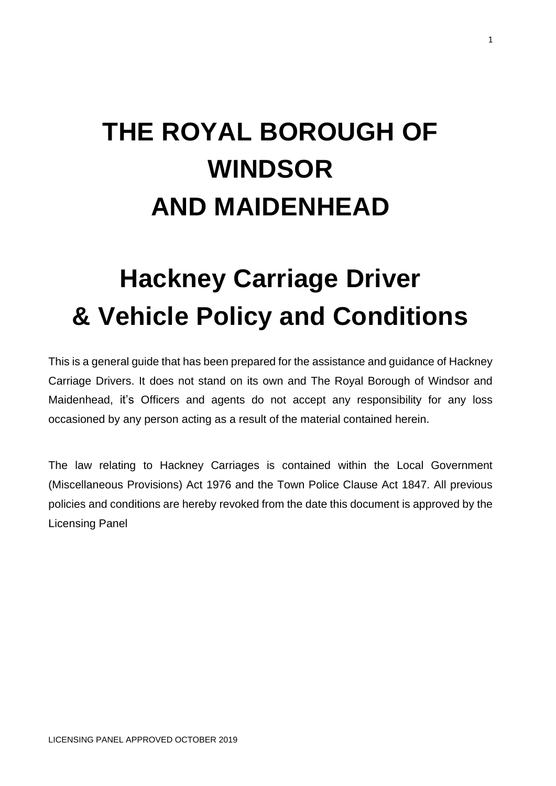# **THE ROYAL BOROUGH OF WINDSOR AND MAIDENHEAD**

# **Hackney Carriage Driver & Vehicle Policy and Conditions**

This is a general guide that has been prepared for the assistance and guidance of Hackney Carriage Drivers. It does not stand on its own and The Royal Borough of Windsor and Maidenhead, it's Officers and agents do not accept any responsibility for any loss occasioned by any person acting as a result of the material contained herein.

The law relating to Hackney Carriages is contained within the Local Government (Miscellaneous Provisions) Act 1976 and the Town Police Clause Act 1847. All previous policies and conditions are hereby revoked from the date this document is approved by the Licensing Panel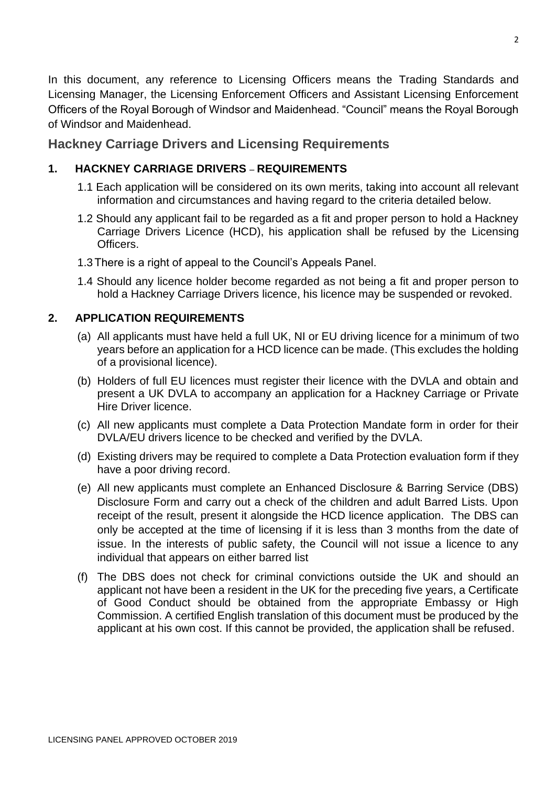In this document, any reference to Licensing Officers means the Trading Standards and Licensing Manager, the Licensing Enforcement Officers and Assistant Licensing Enforcement Officers of the Royal Borough of Windsor and Maidenhead. "Council" means the Royal Borough of Windsor and Maidenhead.

# **Hackney Carriage Drivers and Licensing Requirements**

# **1. HACKNEY CARRIAGE DRIVERS** – **REQUIREMENTS**

- 1.1 Each application will be considered on its own merits, taking into account all relevant information and circumstances and having regard to the criteria detailed below.
- 1.2 Should any applicant fail to be regarded as a fit and proper person to hold a Hackney Carriage Drivers Licence (HCD), his application shall be refused by the Licensing Officers.
- 1.3There is a right of appeal to the Council's Appeals Panel.
- 1.4 Should any licence holder become regarded as not being a fit and proper person to hold a Hackney Carriage Drivers licence, his licence may be suspended or revoked.

# **2. APPLICATION REQUIREMENTS**

- (a) All applicants must have held a full UK, NI or EU driving licence for a minimum of two years before an application for a HCD licence can be made. (This excludes the holding of a provisional licence).
- (b) Holders of full EU licences must register their licence with the DVLA and obtain and present a UK DVLA to accompany an application for a Hackney Carriage or Private Hire Driver licence.
- (c) All new applicants must complete a Data Protection Mandate form in order for their DVLA/EU drivers licence to be checked and verified by the DVLA.
- (d) Existing drivers may be required to complete a Data Protection evaluation form if they have a poor driving record.
- (e) All new applicants must complete an Enhanced Disclosure & Barring Service (DBS) Disclosure Form and carry out a check of the children and adult Barred Lists. Upon receipt of the result, present it alongside the HCD licence application. The DBS can only be accepted at the time of licensing if it is less than 3 months from the date of issue. In the interests of public safety, the Council will not issue a licence to any individual that appears on either barred list
- (f) The DBS does not check for criminal convictions outside the UK and should an applicant not have been a resident in the UK for the preceding five years, a Certificate of Good Conduct should be obtained from the appropriate Embassy or High Commission. A certified English translation of this document must be produced by the applicant at his own cost. If this cannot be provided, the application shall be refused.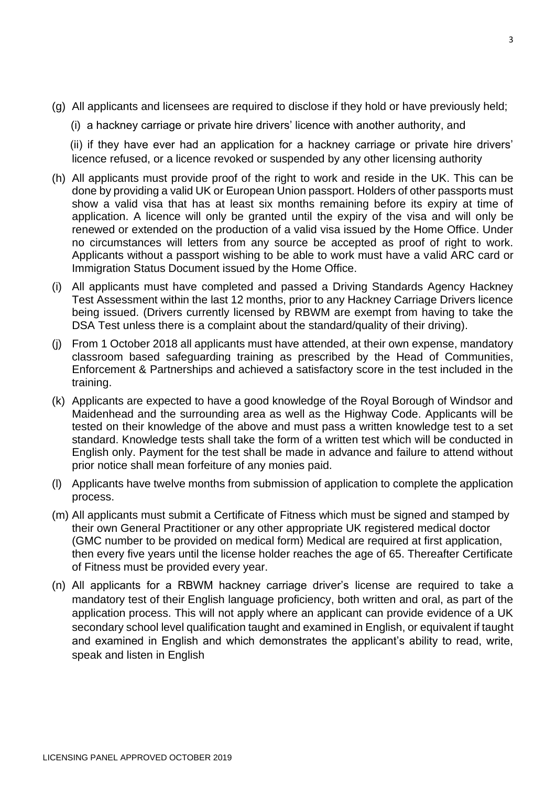- (g) All applicants and licensees are required to disclose if they hold or have previously held;
	- (i) a hackney carriage or private hire drivers' licence with another authority, and

 (ii) if they have ever had an application for a hackney carriage or private hire drivers' licence refused, or a licence revoked or suspended by any other licensing authority

- (h) All applicants must provide proof of the right to work and reside in the UK. This can be done by providing a valid UK or European Union passport. Holders of other passports must show a valid visa that has at least six months remaining before its expiry at time of application. A licence will only be granted until the expiry of the visa and will only be renewed or extended on the production of a valid visa issued by the Home Office. Under no circumstances will letters from any source be accepted as proof of right to work. Applicants without a passport wishing to be able to work must have a valid ARC card or Immigration Status Document issued by the Home Office.
- (i) All applicants must have completed and passed a Driving Standards Agency Hackney Test Assessment within the last 12 months, prior to any Hackney Carriage Drivers licence being issued. (Drivers currently licensed by RBWM are exempt from having to take the DSA Test unless there is a complaint about the standard/quality of their driving).
- (j) From 1 October 2018 all applicants must have attended, at their own expense, mandatory classroom based safeguarding training as prescribed by the Head of Communities, Enforcement & Partnerships and achieved a satisfactory score in the test included in the training.
- (k) Applicants are expected to have a good knowledge of the Royal Borough of Windsor and Maidenhead and the surrounding area as well as the Highway Code. Applicants will be tested on their knowledge of the above and must pass a written knowledge test to a set standard. Knowledge tests shall take the form of a written test which will be conducted in English only. Payment for the test shall be made in advance and failure to attend without prior notice shall mean forfeiture of any monies paid.
- (l) Applicants have twelve months from submission of application to complete the application process.
- (m) All applicants must submit a Certificate of Fitness which must be signed and stamped by their own General Practitioner or any other appropriate UK registered medical doctor (GMC number to be provided on medical form) Medical are required at first application, then every five years until the license holder reaches the age of 65. Thereafter Certificate of Fitness must be provided every year.
- (n) All applicants for a RBWM hackney carriage driver's license are required to take a mandatory test of their English language proficiency, both written and oral, as part of the application process. This will not apply where an applicant can provide evidence of a UK secondary school level qualification taught and examined in English, or equivalent if taught and examined in English and which demonstrates the applicant's ability to read, write, speak and listen in English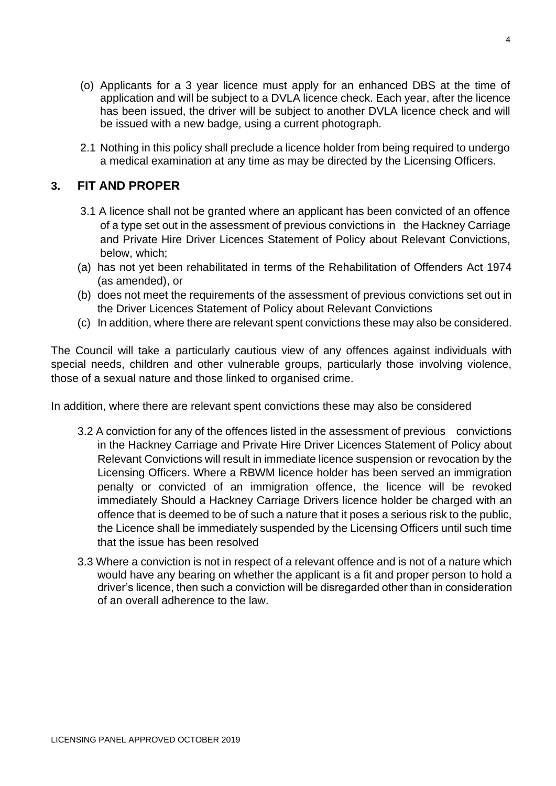- (o) Applicants for a 3 year licence must apply for an enhanced DBS at the time of application and will be subject to a DVLA licence check. Each year, after the licence has been issued, the driver will be subject to another DVLA licence check and will be issued with a new badge, using a current photograph.
- 2.1 Nothing in this policy shall preclude a licence holder from being required to undergo a medical examination at any time as may be directed by the Licensing Officers.

# **3. FIT AND PROPER**

- 3.1 A licence shall not be granted where an applicant has been convicted of an offence of a type set out in the assessment of previous convictions in the Hackney Carriage and Private Hire Driver Licences Statement of Policy about Relevant Convictions, below, which;
- (a) has not yet been rehabilitated in terms of the Rehabilitation of Offenders Act 1974 (as amended), or
- (b) does not meet the requirements of the assessment of previous convictions set out in the Driver Licences Statement of Policy about Relevant Convictions
- (c) In addition, where there are relevant spent convictions these may also be considered.

The Council will take a particularly cautious view of any offences against individuals with special needs, children and other vulnerable groups, particularly those involving violence, those of a sexual nature and those linked to organised crime.

In addition, where there are relevant spent convictions these may also be considered

- 3.2 A conviction for any of the offences listed in the assessment of previous convictions in the Hackney Carriage and Private Hire Driver Licences Statement of Policy about Relevant Convictions will result in immediate licence suspension or revocation by the Licensing Officers. Where a RBWM licence holder has been served an immigration penalty or convicted of an immigration offence, the licence will be revoked immediately Should a Hackney Carriage Drivers licence holder be charged with an offence that is deemed to be of such a nature that it poses a serious risk to the public, the Licence shall be immediately suspended by the Licensing Officers until such time that the issue has been resolved
- 3.3 Where a conviction is not in respect of a relevant offence and is not of a nature which would have any bearing on whether the applicant is a fit and proper person to hold a driver's licence, then such a conviction will be disregarded other than in consideration of an overall adherence to the law.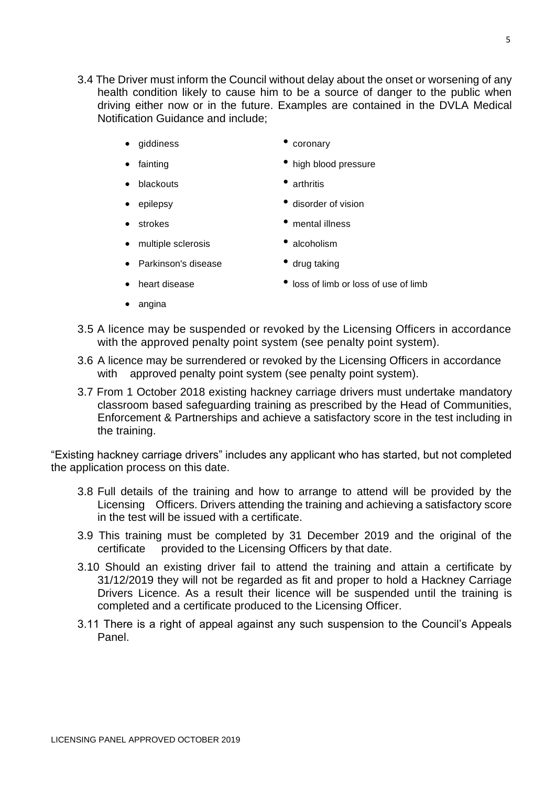- 3.4 The Driver must inform the Council without delay about the onset or worsening of any health condition likely to cause him to be a source of danger to the public when driving either now or in the future. Examples are contained in the DVLA Medical Notification Guidance and include;
	- giddiness coronary
	- fainting high blood pressure
	- blackouts arthritis
	-
	- epilepsy disorder of vision
	- strokes mental illness
	- multiple sclerosis alcoholism
	- Parkinson's disease drug taking
- -
	- heart disease loss of limb or loss of use of limb
	- angina
- 3.5 A licence may be suspended or revoked by the Licensing Officers in accordance with the approved penalty point system (see penalty point system).
- 3.6 A licence may be surrendered or revoked by the Licensing Officers in accordance with approved penalty point system (see penalty point system).
- 3.7 From 1 October 2018 existing hackney carriage drivers must undertake mandatory classroom based safeguarding training as prescribed by the Head of Communities, Enforcement & Partnerships and achieve a satisfactory score in the test including in the training.

"Existing hackney carriage drivers" includes any applicant who has started, but not completed the application process on this date.

- 3.8 Full details of the training and how to arrange to attend will be provided by the Licensing Officers. Drivers attending the training and achieving a satisfactory score in the test will be issued with a certificate.
- 3.9 This training must be completed by 31 December 2019 and the original of the certificate provided to the Licensing Officers by that date.
- 3.10 Should an existing driver fail to attend the training and attain a certificate by 31/12/2019 they will not be regarded as fit and proper to hold a Hackney Carriage Drivers Licence. As a result their licence will be suspended until the training is completed and a certificate produced to the Licensing Officer.
- 3.11 There is a right of appeal against any such suspension to the Council's Appeals Panel.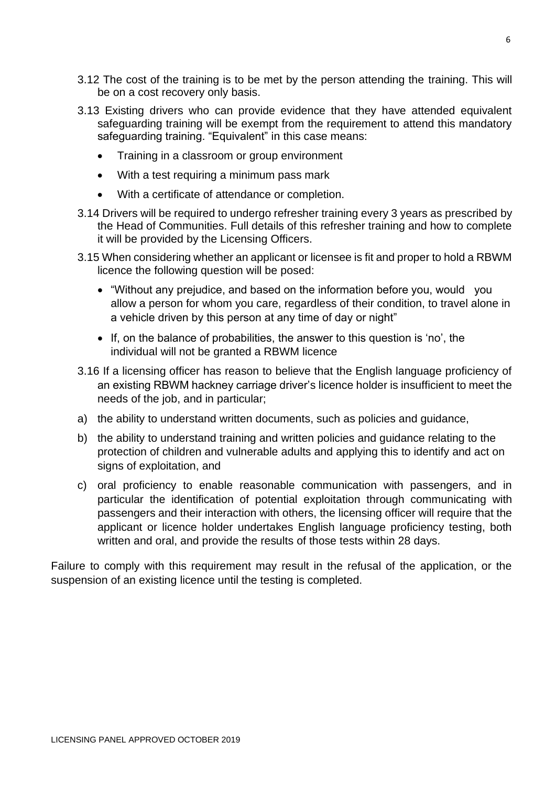- 3.12 The cost of the training is to be met by the person attending the training. This will be on a cost recovery only basis.
- 3.13 Existing drivers who can provide evidence that they have attended equivalent safeguarding training will be exempt from the requirement to attend this mandatory safeguarding training. "Equivalent" in this case means:
	- Training in a classroom or group environment
	- With a test requiring a minimum pass mark
	- With a certificate of attendance or completion.
- 3.14 Drivers will be required to undergo refresher training every 3 years as prescribed by the Head of Communities. Full details of this refresher training and how to complete it will be provided by the Licensing Officers.
- 3.15 When considering whether an applicant or licensee is fit and proper to hold a RBWM licence the following question will be posed:
	- "Without any prejudice, and based on the information before you, would you allow a person for whom you care, regardless of their condition, to travel alone in a vehicle driven by this person at any time of day or night"
	- If, on the balance of probabilities, the answer to this question is 'no', the individual will not be granted a RBWM licence
- 3.16 If a licensing officer has reason to believe that the English language proficiency of an existing RBWM hackney carriage driver's licence holder is insufficient to meet the needs of the job, and in particular;
- a) the ability to understand written documents, such as policies and guidance,
- b) the ability to understand training and written policies and guidance relating to the protection of children and vulnerable adults and applying this to identify and act on signs of exploitation, and
- c) oral proficiency to enable reasonable communication with passengers, and in particular the identification of potential exploitation through communicating with passengers and their interaction with others, the licensing officer will require that the applicant or licence holder undertakes English language proficiency testing, both written and oral, and provide the results of those tests within 28 days.

Failure to comply with this requirement may result in the refusal of the application, or the suspension of an existing licence until the testing is completed.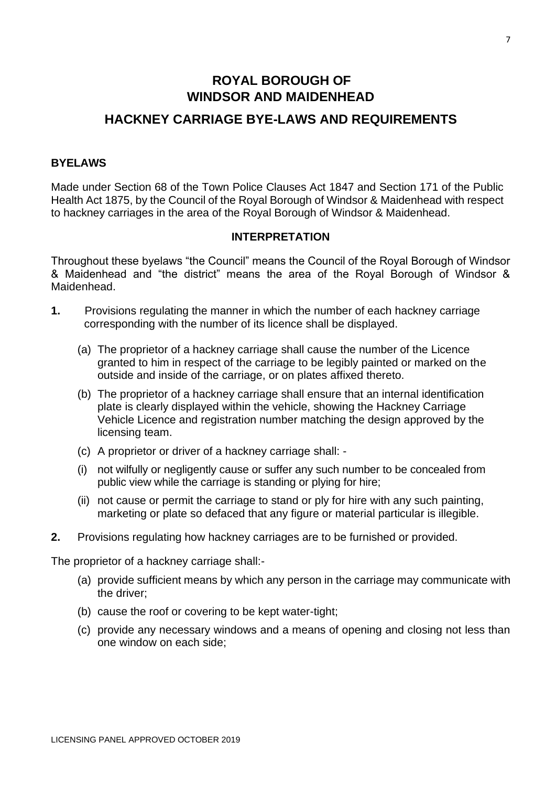# **ROYAL BOROUGH OF WINDSOR AND MAIDENHEAD**

# **HACKNEY CARRIAGE BYE-LAWS AND REQUIREMENTS**

#### **BYELAWS**

Made under Section 68 of the Town Police Clauses Act 1847 and Section 171 of the Public Health Act 1875, by the Council of the Royal Borough of Windsor & Maidenhead with respect to hackney carriages in the area of the Royal Borough of Windsor & Maidenhead.

#### **INTERPRETATION**

Throughout these byelaws "the Council" means the Council of the Royal Borough of Windsor & Maidenhead and "the district" means the area of the Royal Borough of Windsor & Maidenhead.

- **1.** Provisions regulating the manner in which the number of each hackney carriage corresponding with the number of its licence shall be displayed.
	- (a) The proprietor of a hackney carriage shall cause the number of the Licence granted to him in respect of the carriage to be legibly painted or marked on the outside and inside of the carriage, or on plates affixed thereto.
	- (b) The proprietor of a hackney carriage shall ensure that an internal identification plate is clearly displayed within the vehicle, showing the Hackney Carriage Vehicle Licence and registration number matching the design approved by the licensing team.
	- (c) A proprietor or driver of a hackney carriage shall: -
	- (i) not wilfully or negligently cause or suffer any such number to be concealed from public view while the carriage is standing or plying for hire;
	- (ii) not cause or permit the carriage to stand or ply for hire with any such painting, marketing or plate so defaced that any figure or material particular is illegible.
- **2.** Provisions regulating how hackney carriages are to be furnished or provided.

The proprietor of a hackney carriage shall:-

- (a) provide sufficient means by which any person in the carriage may communicate with the driver;
- (b) cause the roof or covering to be kept water-tight;
- (c) provide any necessary windows and a means of opening and closing not less than one window on each side;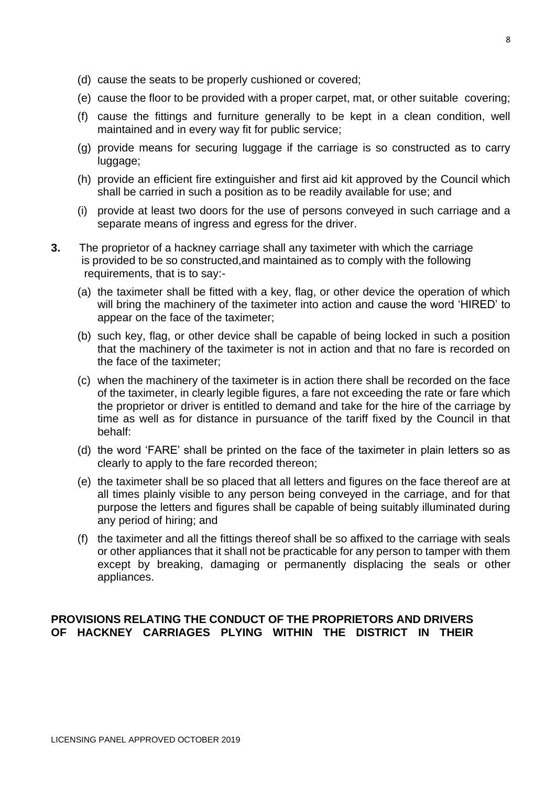- (d) cause the seats to be properly cushioned or covered;
- (e) cause the floor to be provided with a proper carpet, mat, or other suitable covering;
- (f) cause the fittings and furniture generally to be kept in a clean condition, well maintained and in every way fit for public service;
- (g) provide means for securing luggage if the carriage is so constructed as to carry luggage;
- (h) provide an efficient fire extinguisher and first aid kit approved by the Council which shall be carried in such a position as to be readily available for use; and
- (i) provide at least two doors for the use of persons conveyed in such carriage and a separate means of ingress and egress for the driver.
- **3.** The proprietor of a hackney carriage shall any taximeter with which the carriage is provided to be so constructed,and maintained as to comply with the following requirements, that is to say:-
	- (a) the taximeter shall be fitted with a key, flag, or other device the operation of which will bring the machinery of the taximeter into action and cause the word 'HIRED' to appear on the face of the taximeter;
	- (b) such key, flag, or other device shall be capable of being locked in such a position that the machinery of the taximeter is not in action and that no fare is recorded on the face of the taximeter;
	- (c) when the machinery of the taximeter is in action there shall be recorded on the face of the taximeter, in clearly legible figures, a fare not exceeding the rate or fare which the proprietor or driver is entitled to demand and take for the hire of the carriage by time as well as for distance in pursuance of the tariff fixed by the Council in that behalf:
	- (d) the word 'FARE' shall be printed on the face of the taximeter in plain letters so as clearly to apply to the fare recorded thereon;
	- (e) the taximeter shall be so placed that all letters and figures on the face thereof are at all times plainly visible to any person being conveyed in the carriage, and for that purpose the letters and figures shall be capable of being suitably illuminated during any period of hiring; and
	- (f) the taximeter and all the fittings thereof shall be so affixed to the carriage with seals or other appliances that it shall not be practicable for any person to tamper with them except by breaking, damaging or permanently displacing the seals or other appliances.

#### **PROVISIONS RELATING THE CONDUCT OF THE PROPRIETORS AND DRIVERS OF HACKNEY CARRIAGES PLYING WITHIN THE DISTRICT IN THEIR**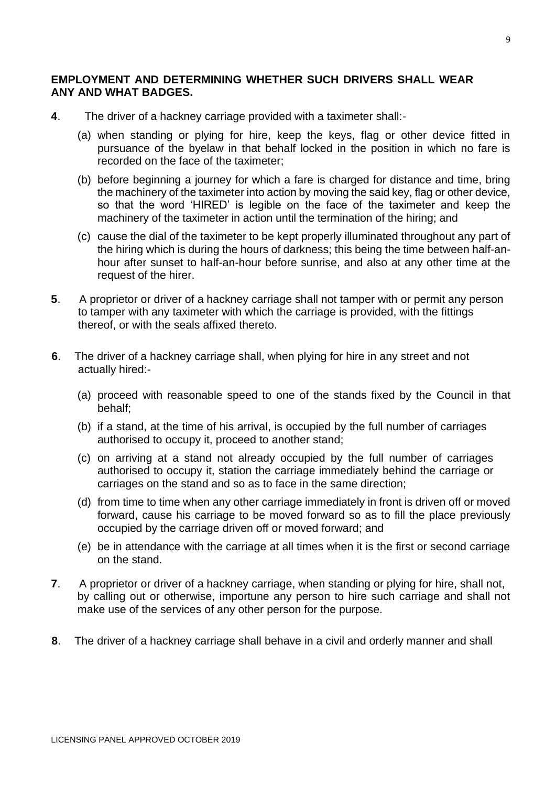# **EMPLOYMENT AND DETERMINING WHETHER SUCH DRIVERS SHALL WEAR ANY AND WHAT BADGES.**

- **4**. The driver of a hackney carriage provided with a taximeter shall:-
	- (a) when standing or plying for hire, keep the keys, flag or other device fitted in pursuance of the byelaw in that behalf locked in the position in which no fare is recorded on the face of the taximeter;
	- (b) before beginning a journey for which a fare is charged for distance and time, bring the machinery of the taximeter into action by moving the said key, flag or other device, so that the word 'HIRED' is legible on the face of the taximeter and keep the machinery of the taximeter in action until the termination of the hiring; and
	- (c) cause the dial of the taximeter to be kept properly illuminated throughout any part of the hiring which is during the hours of darkness; this being the time between half-anhour after sunset to half-an-hour before sunrise, and also at any other time at the request of the hirer.
- **5**. A proprietor or driver of a hackney carriage shall not tamper with or permit any person to tamper with any taximeter with which the carriage is provided, with the fittings thereof, or with the seals affixed thereto.
- **6**. The driver of a hackney carriage shall, when plying for hire in any street and not actually hired:-
	- (a) proceed with reasonable speed to one of the stands fixed by the Council in that behalf;
	- (b) if a stand, at the time of his arrival, is occupied by the full number of carriages authorised to occupy it, proceed to another stand;
	- (c) on arriving at a stand not already occupied by the full number of carriages authorised to occupy it, station the carriage immediately behind the carriage or carriages on the stand and so as to face in the same direction;
	- (d) from time to time when any other carriage immediately in front is driven off or moved forward, cause his carriage to be moved forward so as to fill the place previously occupied by the carriage driven off or moved forward; and
	- (e) be in attendance with the carriage at all times when it is the first or second carriage on the stand.
- **7**. A proprietor or driver of a hackney carriage, when standing or plying for hire, shall not, by calling out or otherwise, importune any person to hire such carriage and shall not make use of the services of any other person for the purpose.
- **8**. The driver of a hackney carriage shall behave in a civil and orderly manner and shall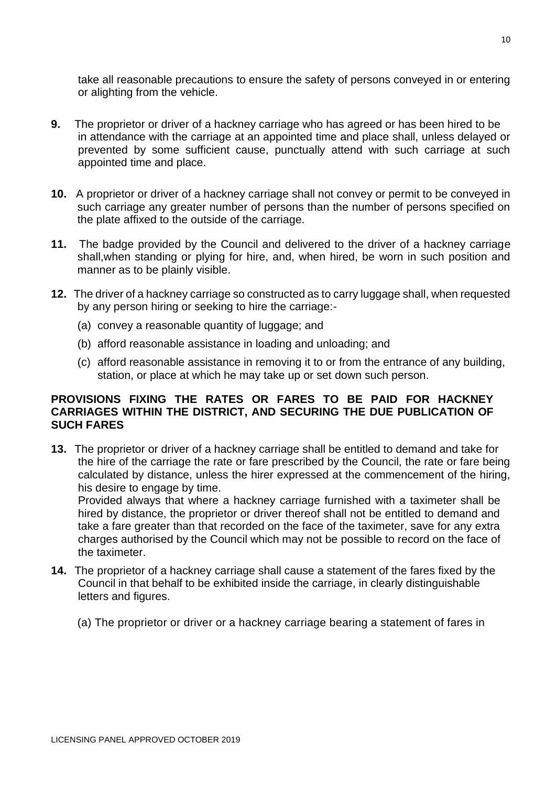take all reasonable precautions to ensure the safety of persons conveyed in or entering or alighting from the vehicle.

- **9.** The proprietor or driver of a hackney carriage who has agreed or has been hired to be in attendance with the carriage at an appointed time and place shall, unless delayed or prevented by some sufficient cause, punctually attend with such carriage at such appointed time and place.
- **10.** A proprietor or driver of a hackney carriage shall not convey or permit to be conveyed in such carriage any greater number of persons than the number of persons specified on the plate affixed to the outside of the carriage.
- **11.** The badge provided by the Council and delivered to the driver of a hackney carriage shall,when standing or plying for hire, and, when hired, be worn in such position and manner as to be plainly visible.
- **12.** The driver of a hackney carriage so constructed as to carry luggage shall, when requested by any person hiring or seeking to hire the carriage:-
	- (a) convey a reasonable quantity of luggage; and
	- (b) afford reasonable assistance in loading and unloading; and
	- (c) afford reasonable assistance in removing it to or from the entrance of any building, station, or place at which he may take up or set down such person.

# **PROVISIONS FIXING THE RATES OR FARES TO BE PAID FOR HACKNEY CARRIAGES WITHIN THE DISTRICT, AND SECURING THE DUE PUBLICATION OF SUCH FARES**

**13.** The proprietor or driver of a hackney carriage shall be entitled to demand and take for the hire of the carriage the rate or fare prescribed by the Council, the rate or fare being calculated by distance, unless the hirer expressed at the commencement of the hiring, his desire to engage by time.

Provided always that where a hackney carriage furnished with a taximeter shall be hired by distance, the proprietor or driver thereof shall not be entitled to demand and take a fare greater than that recorded on the face of the taximeter, save for any extra charges authorised by the Council which may not be possible to record on the face of the taximeter.

- **14.** The proprietor of a hackney carriage shall cause a statement of the fares fixed by the Council in that behalf to be exhibited inside the carriage, in clearly distinguishable letters and figures.
	- (a) The proprietor or driver or a hackney carriage bearing a statement of fares in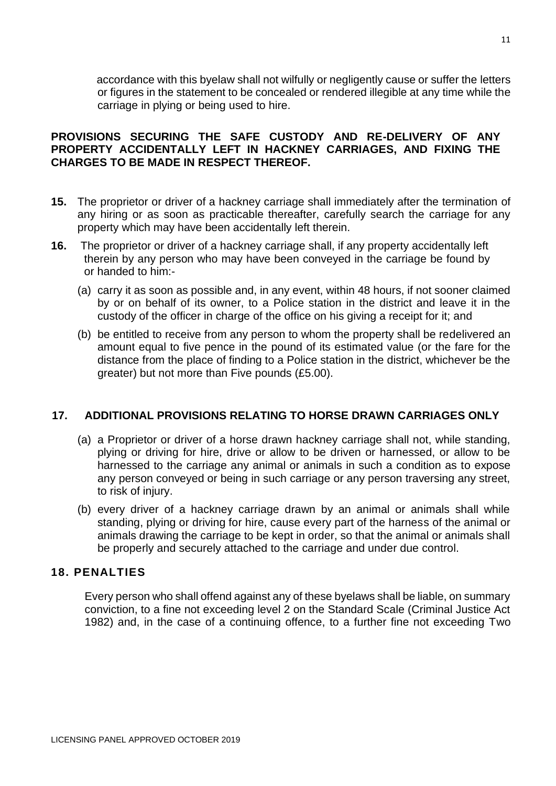accordance with this byelaw shall not wilfully or negligently cause or suffer the letters or figures in the statement to be concealed or rendered illegible at any time while the carriage in plying or being used to hire.

# **PROVISIONS SECURING THE SAFE CUSTODY AND RE-DELIVERY OF ANY PROPERTY ACCIDENTALLY LEFT IN HACKNEY CARRIAGES, AND FIXING THE CHARGES TO BE MADE IN RESPECT THEREOF.**

- **15.** The proprietor or driver of a hackney carriage shall immediately after the termination of any hiring or as soon as practicable thereafter, carefully search the carriage for any property which may have been accidentally left therein.
- **16.** The proprietor or driver of a hackney carriage shall, if any property accidentally left therein by any person who may have been conveyed in the carriage be found by or handed to him:-
	- (a) carry it as soon as possible and, in any event, within 48 hours, if not sooner claimed by or on behalf of its owner, to a Police station in the district and leave it in the custody of the officer in charge of the office on his giving a receipt for it; and
	- (b) be entitled to receive from any person to whom the property shall be redelivered an amount equal to five pence in the pound of its estimated value (or the fare for the distance from the place of finding to a Police station in the district, whichever be the greater) but not more than Five pounds (£5.00).

# **17. ADDITIONAL PROVISIONS RELATING TO HORSE DRAWN CARRIAGES ONLY**

- (a) a Proprietor or driver of a horse drawn hackney carriage shall not, while standing, plying or driving for hire, drive or allow to be driven or harnessed, or allow to be harnessed to the carriage any animal or animals in such a condition as to expose any person conveyed or being in such carriage or any person traversing any street, to risk of injury.
- (b) every driver of a hackney carriage drawn by an animal or animals shall while standing, plying or driving for hire, cause every part of the harness of the animal or animals drawing the carriage to be kept in order, so that the animal or animals shall be properly and securely attached to the carriage and under due control.

# **18. PENALTIES**

Every person who shall offend against any of these byelaws shall be liable, on summary conviction, to a fine not exceeding level 2 on the Standard Scale (Criminal Justice Act 1982) and, in the case of a continuing offence, to a further fine not exceeding Two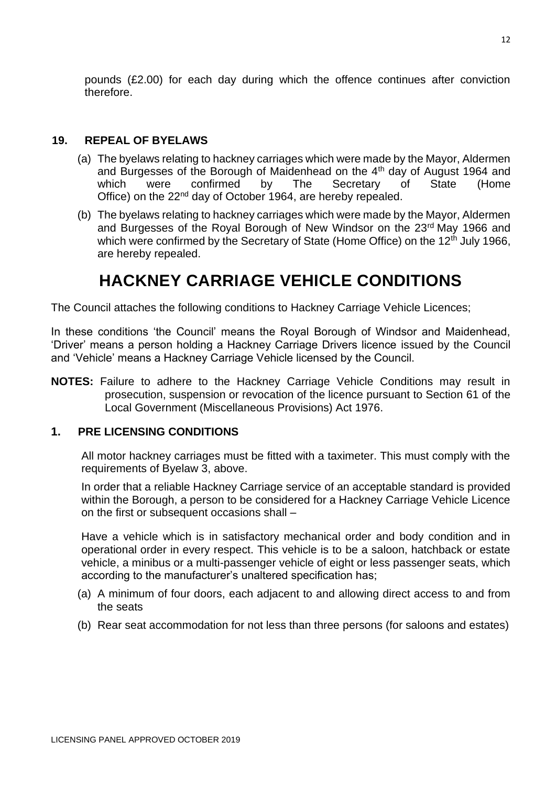pounds (£2.00) for each day during which the offence continues after conviction therefore.

# **19. REPEAL OF BYELAWS**

- (a) The byelaws relating to hackney carriages which were made by the Mayor, Aldermen and Burgesses of the Borough of Maidenhead on the 4<sup>th</sup> day of August 1964 and which were confirmed by The Secretary of State (Home Office) on the 22<sup>nd</sup> day of October 1964, are hereby repealed.
- (b) The byelaws relating to hackney carriages which were made by the Mayor, Aldermen and Burgesses of the Royal Borough of New Windsor on the 23rd May 1966 and which were confirmed by the Secretary of State (Home Office) on the  $12<sup>th</sup>$  July 1966, are hereby repealed.

# **HACKNEY CARRIAGE VEHICLE CONDITIONS**

The Council attaches the following conditions to Hackney Carriage Vehicle Licences;

In these conditions 'the Council' means the Royal Borough of Windsor and Maidenhead, 'Driver' means a person holding a Hackney Carriage Drivers licence issued by the Council and 'Vehicle' means a Hackney Carriage Vehicle licensed by the Council.

**NOTES:** Failure to adhere to the Hackney Carriage Vehicle Conditions may result in prosecution, suspension or revocation of the licence pursuant to Section 61 of the Local Government (Miscellaneous Provisions) Act 1976.

# **1. PRE LICENSING CONDITIONS**

All motor hackney carriages must be fitted with a taximeter. This must comply with the requirements of Byelaw 3, above.

In order that a reliable Hackney Carriage service of an acceptable standard is provided within the Borough, a person to be considered for a Hackney Carriage Vehicle Licence on the first or subsequent occasions shall –

Have a vehicle which is in satisfactory mechanical order and body condition and in operational order in every respect. This vehicle is to be a saloon, hatchback or estate vehicle, a minibus or a multi-passenger vehicle of eight or less passenger seats, which according to the manufacturer's unaltered specification has;

- (a) A minimum of four doors, each adjacent to and allowing direct access to and from the seats
- (b) Rear seat accommodation for not less than three persons (for saloons and estates)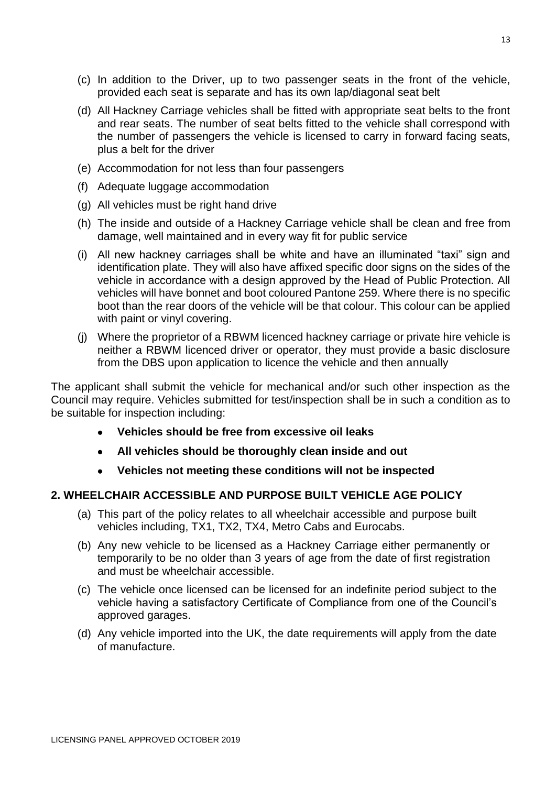- (c) In addition to the Driver, up to two passenger seats in the front of the vehicle, provided each seat is separate and has its own lap/diagonal seat belt
- (d) All Hackney Carriage vehicles shall be fitted with appropriate seat belts to the front and rear seats. The number of seat belts fitted to the vehicle shall correspond with the number of passengers the vehicle is licensed to carry in forward facing seats, plus a belt for the driver
- (e) Accommodation for not less than four passengers
- (f) Adequate luggage accommodation
- (g) All vehicles must be right hand drive
- (h) The inside and outside of a Hackney Carriage vehicle shall be clean and free from damage, well maintained and in every way fit for public service
- (i) All new hackney carriages shall be white and have an illuminated "taxi" sign and identification plate. They will also have affixed specific door signs on the sides of the vehicle in accordance with a design approved by the Head of Public Protection. All vehicles will have bonnet and boot coloured Pantone 259. Where there is no specific boot than the rear doors of the vehicle will be that colour. This colour can be applied with paint or vinyl covering.
- (j) Where the proprietor of a RBWM licenced hackney carriage or private hire vehicle is neither a RBWM licenced driver or operator, they must provide a basic disclosure from the DBS upon application to licence the vehicle and then annually

The applicant shall submit the vehicle for mechanical and/or such other inspection as the Council may require. Vehicles submitted for test/inspection shall be in such a condition as to be suitable for inspection including:

- **Vehicles should be free from excessive oil leaks**
- **All vehicles should be thoroughly clean inside and out**
- **Vehicles not meeting these conditions will not be inspected**

# **2. WHEELCHAIR ACCESSIBLE AND PURPOSE BUILT VEHICLE AGE POLICY**

- (a) This part of the policy relates to all wheelchair accessible and purpose built vehicles including, TX1, TX2, TX4, Metro Cabs and Eurocabs.
- (b) Any new vehicle to be licensed as a Hackney Carriage either permanently or temporarily to be no older than 3 years of age from the date of first registration and must be wheelchair accessible.
- (c) The vehicle once licensed can be licensed for an indefinite period subject to the vehicle having a satisfactory Certificate of Compliance from one of the Council's approved garages.
- (d) Any vehicle imported into the UK, the date requirements will apply from the date of manufacture.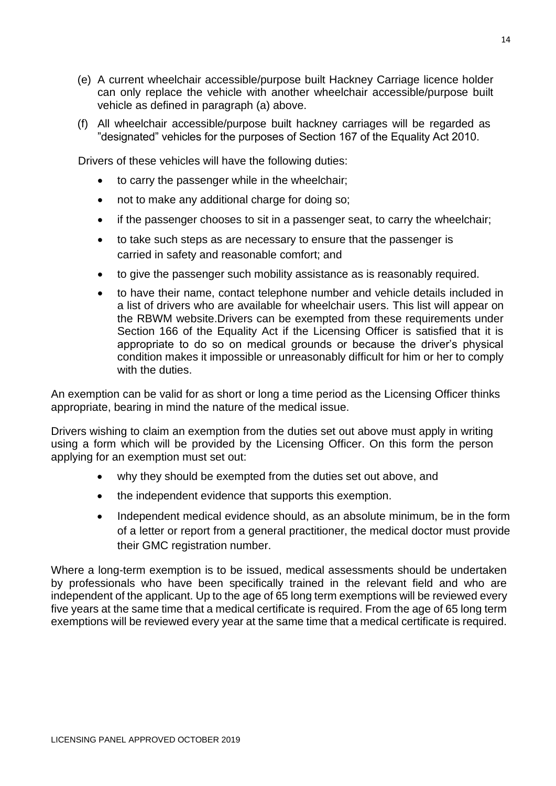- (e) A current wheelchair accessible/purpose built Hackney Carriage licence holder can only replace the vehicle with another wheelchair accessible/purpose built vehicle as defined in paragraph (a) above.
- (f) All wheelchair accessible/purpose built hackney carriages will be regarded as "designated" vehicles for the purposes of Section 167 of the Equality Act 2010.

Drivers of these vehicles will have the following duties:

- to carry the passenger while in the wheelchair;
- not to make any additional charge for doing so;
- if the passenger chooses to sit in a passenger seat, to carry the wheelchair;
- to take such steps as are necessary to ensure that the passenger is carried in safety and reasonable comfort; and
- to give the passenger such mobility assistance as is reasonably required.
- to have their name, contact telephone number and vehicle details included in a list of drivers who are available for wheelchair users. This list will appear on the RBWM website.Drivers can be exempted from these requirements under Section 166 of the Equality Act if the Licensing Officer is satisfied that it is appropriate to do so on medical grounds or because the driver's physical condition makes it impossible or unreasonably difficult for him or her to comply with the duties.

An exemption can be valid for as short or long a time period as the Licensing Officer thinks appropriate, bearing in mind the nature of the medical issue.

Drivers wishing to claim an exemption from the duties set out above must apply in writing using a form which will be provided by the Licensing Officer. On this form the person applying for an exemption must set out:

- why they should be exempted from the duties set out above, and
- the independent evidence that supports this exemption.
- Independent medical evidence should, as an absolute minimum, be in the form of a letter or report from a general practitioner, the medical doctor must provide their GMC registration number.

Where a long-term exemption is to be issued, medical assessments should be undertaken by professionals who have been specifically trained in the relevant field and who are independent of the applicant. Up to the age of 65 long term exemptions will be reviewed every five years at the same time that a medical certificate is required. From the age of 65 long term exemptions will be reviewed every year at the same time that a medical certificate is required.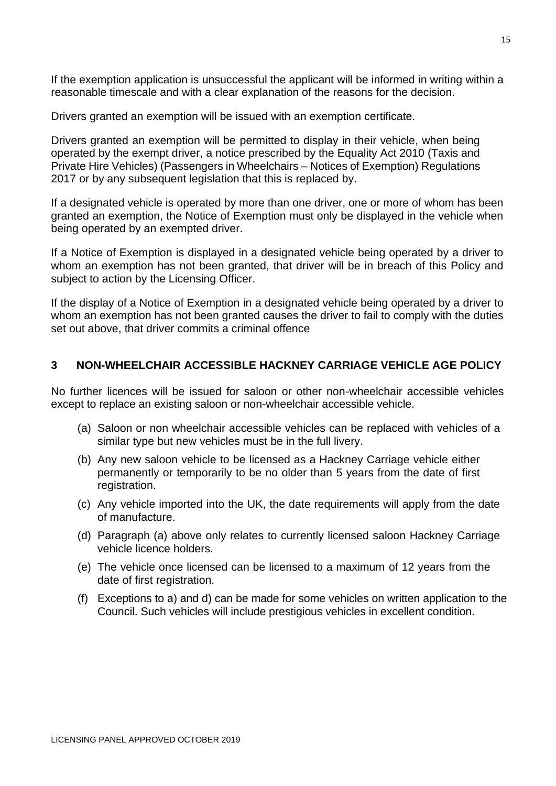If the exemption application is unsuccessful the applicant will be informed in writing within a reasonable timescale and with a clear explanation of the reasons for the decision.

Drivers granted an exemption will be issued with an exemption certificate.

Drivers granted an exemption will be permitted to display in their vehicle, when being operated by the exempt driver, a notice prescribed by the Equality Act 2010 (Taxis and Private Hire Vehicles) (Passengers in Wheelchairs – Notices of Exemption) Regulations 2017 or by any subsequent legislation that this is replaced by.

If a designated vehicle is operated by more than one driver, one or more of whom has been granted an exemption, the Notice of Exemption must only be displayed in the vehicle when being operated by an exempted driver.

If a Notice of Exemption is displayed in a designated vehicle being operated by a driver to whom an exemption has not been granted, that driver will be in breach of this Policy and subject to action by the Licensing Officer.

If the display of a Notice of Exemption in a designated vehicle being operated by a driver to whom an exemption has not been granted causes the driver to fail to comply with the duties set out above, that driver commits a criminal offence

#### **3 NON-WHEELCHAIR ACCESSIBLE HACKNEY CARRIAGE VEHICLE AGE POLICY**

No further licences will be issued for saloon or other non-wheelchair accessible vehicles except to replace an existing saloon or non-wheelchair accessible vehicle.

- (a) Saloon or non wheelchair accessible vehicles can be replaced with vehicles of a similar type but new vehicles must be in the full livery.
- (b) Any new saloon vehicle to be licensed as a Hackney Carriage vehicle either permanently or temporarily to be no older than 5 years from the date of first registration.
- (c) Any vehicle imported into the UK, the date requirements will apply from the date of manufacture.
- (d) Paragraph (a) above only relates to currently licensed saloon Hackney Carriage vehicle licence holders.
- (e) The vehicle once licensed can be licensed to a maximum of 12 years from the date of first registration.
- (f) Exceptions to a) and d) can be made for some vehicles on written application to the Council. Such vehicles will include prestigious vehicles in excellent condition.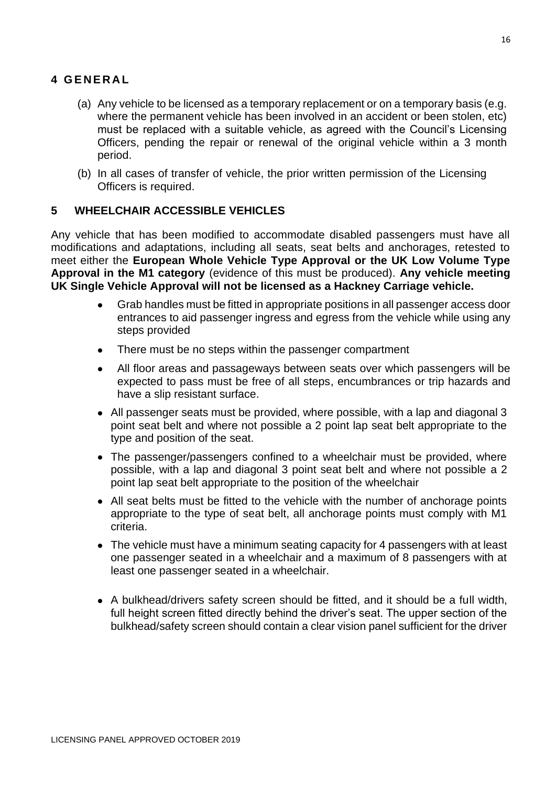# **4 G E N E R A L**

- (a) Any vehicle to be licensed as a temporary replacement or on a temporary basis (e.g. where the permanent vehicle has been involved in an accident or been stolen, etc) must be replaced with a suitable vehicle, as agreed with the Council's Licensing Officers, pending the repair or renewal of the original vehicle within a 3 month period.
- (b) In all cases of transfer of vehicle, the prior written permission of the Licensing Officers is required.

# **5 WHEELCHAIR ACCESSIBLE VEHICLES**

Any vehicle that has been modified to accommodate disabled passengers must have all modifications and adaptations, including all seats, seat belts and anchorages, retested to meet either the **European Whole Vehicle Type Approval or the UK Low Volume Type Approval in the M1 category** (evidence of this must be produced). **Any vehicle meeting UK Single Vehicle Approval will not be licensed as a Hackney Carriage vehicle.**

- Grab handles must be fitted in appropriate positions in all passenger access door entrances to aid passenger ingress and egress from the vehicle while using any steps provided
- There must be no steps within the passenger compartment
- All floor areas and passageways between seats over which passengers will be expected to pass must be free of all steps, encumbrances or trip hazards and have a slip resistant surface.
- All passenger seats must be provided, where possible, with a lap and diagonal 3 point seat belt and where not possible a 2 point lap seat belt appropriate to the type and position of the seat.
- The passenger/passengers confined to a wheelchair must be provided, where possible, with a lap and diagonal 3 point seat belt and where not possible a 2 point lap seat belt appropriate to the position of the wheelchair
- All seat belts must be fitted to the vehicle with the number of anchorage points appropriate to the type of seat belt, all anchorage points must comply with M1 criteria.
- The vehicle must have a minimum seating capacity for 4 passengers with at least one passenger seated in a wheelchair and a maximum of 8 passengers with at least one passenger seated in a wheelchair.
- A bulkhead/drivers safety screen should be fitted, and it should be a full width, full height screen fitted directly behind the driver's seat. The upper section of the bulkhead/safety screen should contain a clear vision panel sufficient for the driver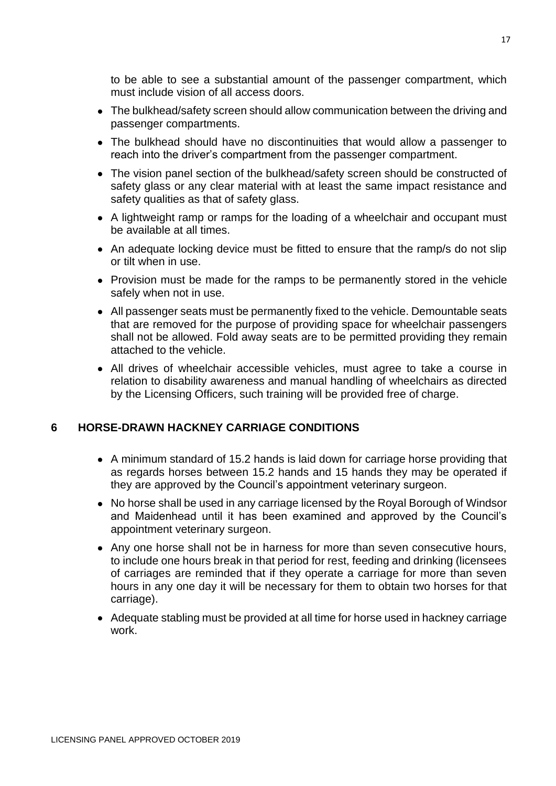to be able to see a substantial amount of the passenger compartment, which must include vision of all access doors.

- The bulkhead/safety screen should allow communication between the driving and passenger compartments.
- The bulkhead should have no discontinuities that would allow a passenger to reach into the driver's compartment from the passenger compartment.
- The vision panel section of the bulkhead/safety screen should be constructed of safety glass or any clear material with at least the same impact resistance and safety qualities as that of safety glass.
- A lightweight ramp or ramps for the loading of a wheelchair and occupant must be available at all times.
- An adequate locking device must be fitted to ensure that the ramp/s do not slip or tilt when in use.
- Provision must be made for the ramps to be permanently stored in the vehicle safely when not in use.
- All passenger seats must be permanently fixed to the vehicle. Demountable seats that are removed for the purpose of providing space for wheelchair passengers shall not be allowed. Fold away seats are to be permitted providing they remain attached to the vehicle.
- All drives of wheelchair accessible vehicles, must agree to take a course in relation to disability awareness and manual handling of wheelchairs as directed by the Licensing Officers, such training will be provided free of charge.

# **6 HORSE-DRAWN HACKNEY CARRIAGE CONDITIONS**

- A minimum standard of 15.2 hands is laid down for carriage horse providing that as regards horses between 15.2 hands and 15 hands they may be operated if they are approved by the Council's appointment veterinary surgeon.
- No horse shall be used in any carriage licensed by the Royal Borough of Windsor and Maidenhead until it has been examined and approved by the Council's appointment veterinary surgeon.
- Any one horse shall not be in harness for more than seven consecutive hours, to include one hours break in that period for rest, feeding and drinking (licensees of carriages are reminded that if they operate a carriage for more than seven hours in any one day it will be necessary for them to obtain two horses for that carriage).
- Adequate stabling must be provided at all time for horse used in hackney carriage work.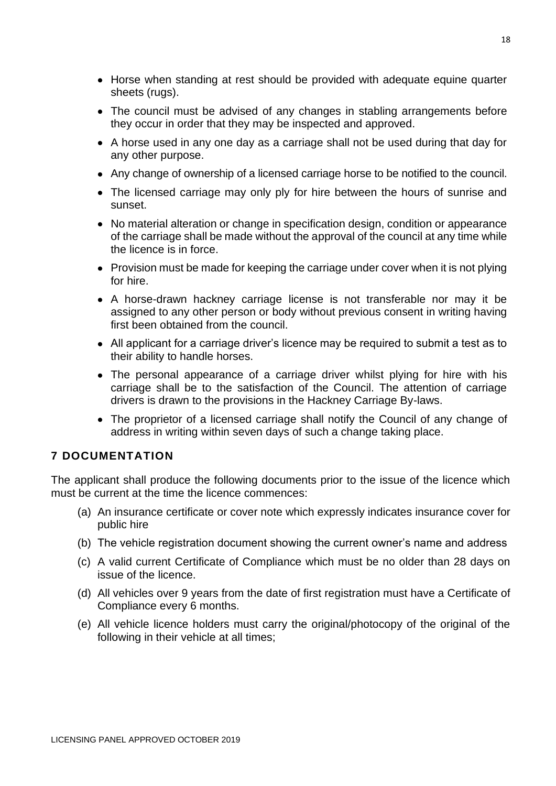- Horse when standing at rest should be provided with adequate equine quarter sheets (rugs).
- The council must be advised of any changes in stabling arrangements before they occur in order that they may be inspected and approved.
- A horse used in any one day as a carriage shall not be used during that day for any other purpose.
- Any change of ownership of a licensed carriage horse to be notified to the council.
- The licensed carriage may only ply for hire between the hours of sunrise and sunset.
- No material alteration or change in specification design, condition or appearance of the carriage shall be made without the approval of the council at any time while the licence is in force.
- Provision must be made for keeping the carriage under cover when it is not plying for hire.
- A horse-drawn hackney carriage license is not transferable nor may it be assigned to any other person or body without previous consent in writing having first been obtained from the council.
- All applicant for a carriage driver's licence may be required to submit a test as to their ability to handle horses.
- The personal appearance of a carriage driver whilst plying for hire with his carriage shall be to the satisfaction of the Council. The attention of carriage drivers is drawn to the provisions in the Hackney Carriage By-laws.
- The proprietor of a licensed carriage shall notify the Council of any change of address in writing within seven days of such a change taking place.

# **7 DOCUMENTATION**

The applicant shall produce the following documents prior to the issue of the licence which must be current at the time the licence commences:

- (a) An insurance certificate or cover note which expressly indicates insurance cover for public hire
- (b) The vehicle registration document showing the current owner's name and address
- (c) A valid current Certificate of Compliance which must be no older than 28 days on issue of the licence.
- (d) All vehicles over 9 years from the date of first registration must have a Certificate of Compliance every 6 months.
- (e) All vehicle licence holders must carry the original/photocopy of the original of the following in their vehicle at all times;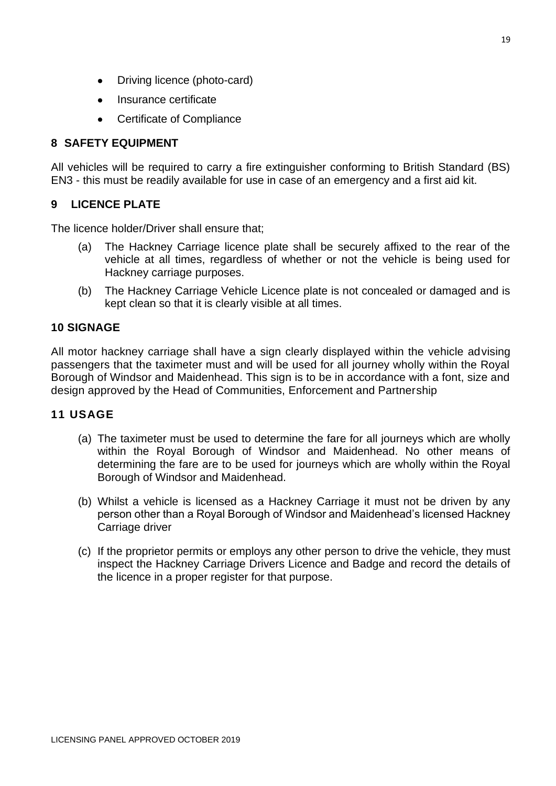- Driving licence (photo-card)
- Insurance certificate
- Certificate of Compliance

# **8 SAFETY EQUIPMENT**

All vehicles will be required to carry a fire extinguisher conforming to British Standard (BS) EN3 - this must be readily available for use in case of an emergency and a first aid kit.

# **9 LICENCE PLATE**

The licence holder/Driver shall ensure that;

- (a) The Hackney Carriage licence plate shall be securely affixed to the rear of the vehicle at all times, regardless of whether or not the vehicle is being used for Hackney carriage purposes.
- (b) The Hackney Carriage Vehicle Licence plate is not concealed or damaged and is kept clean so that it is clearly visible at all times.

# **10 SIGNAGE**

All motor hackney carriage shall have a sign clearly displayed within the vehicle advising passengers that the taximeter must and will be used for all journey wholly within the Royal Borough of Windsor and Maidenhead. This sign is to be in accordance with a font, size and design approved by the Head of Communities, Enforcement and Partnership

# **11 USAGE**

- (a) The taximeter must be used to determine the fare for all journeys which are wholly within the Royal Borough of Windsor and Maidenhead. No other means of determining the fare are to be used for journeys which are wholly within the Royal Borough of Windsor and Maidenhead.
- (b) Whilst a vehicle is licensed as a Hackney Carriage it must not be driven by any person other than a Royal Borough of Windsor and Maidenhead's licensed Hackney Carriage driver
- (c) If the proprietor permits or employs any other person to drive the vehicle, they must inspect the Hackney Carriage Drivers Licence and Badge and record the details of the licence in a proper register for that purpose.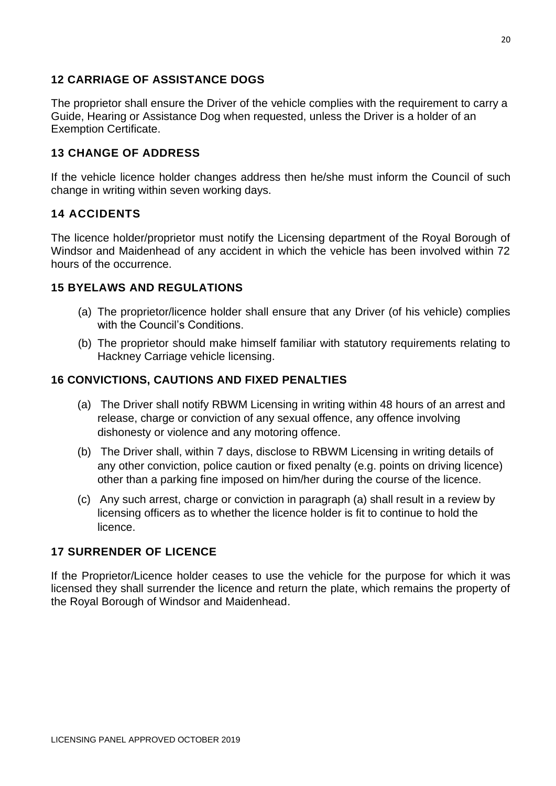# **12 CARRIAGE OF ASSISTANCE DOGS**

The proprietor shall ensure the Driver of the vehicle complies with the requirement to carry a Guide, Hearing or Assistance Dog when requested, unless the Driver is a holder of an Exemption Certificate.

# **13 CHANGE OF ADDRESS**

If the vehicle licence holder changes address then he/she must inform the Council of such change in writing within seven working days.

# **14 ACCIDENTS**

The licence holder/proprietor must notify the Licensing department of the Royal Borough of Windsor and Maidenhead of any accident in which the vehicle has been involved within 72 hours of the occurrence.

# **15 BYELAWS AND REGULATIONS**

- (a) The proprietor/licence holder shall ensure that any Driver (of his vehicle) complies with the Council's Conditions.
- (b) The proprietor should make himself familiar with statutory requirements relating to Hackney Carriage vehicle licensing.

# **16 CONVICTIONS, CAUTIONS AND FIXED PENALTIES**

- (a) The Driver shall notify RBWM Licensing in writing within 48 hours of an arrest and release, charge or conviction of any sexual offence, any offence involving dishonesty or violence and any motoring offence.
- (b) The Driver shall, within 7 days, disclose to RBWM Licensing in writing details of any other conviction, police caution or fixed penalty (e.g. points on driving licence) other than a parking fine imposed on him/her during the course of the licence.
- (c) Any such arrest, charge or conviction in paragraph (a) shall result in a review by licensing officers as to whether the licence holder is fit to continue to hold the licence.

# **17 SURRENDER OF LICENCE**

If the Proprietor/Licence holder ceases to use the vehicle for the purpose for which it was licensed they shall surrender the licence and return the plate, which remains the property of the Royal Borough of Windsor and Maidenhead.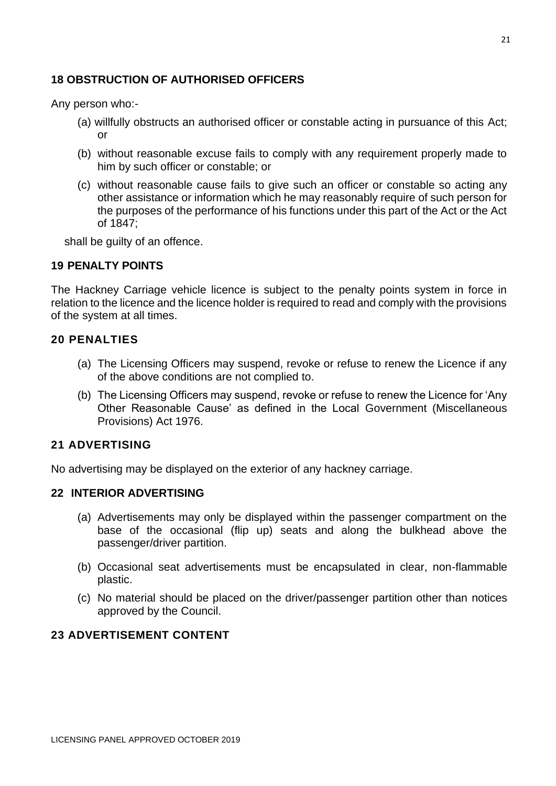# **18 OBSTRUCTION OF AUTHORISED OFFICERS**

Any person who:-

- (a) willfully obstructs an authorised officer or constable acting in pursuance of this Act; or
- (b) without reasonable excuse fails to comply with any requirement properly made to him by such officer or constable; or
- (c) without reasonable cause fails to give such an officer or constable so acting any other assistance or information which he may reasonably require of such person for the purposes of the performance of his functions under this part of the Act or the Act of 1847;

shall be guilty of an offence.

#### **19 PENALTY POINTS**

The Hackney Carriage vehicle licence is subject to the penalty points system in force in relation to the licence and the licence holder is required to read and comply with the provisions of the system at all times.

#### **20 PENALTIES**

- (a) The Licensing Officers may suspend, revoke or refuse to renew the Licence if any of the above conditions are not complied to.
- (b) The Licensing Officers may suspend, revoke or refuse to renew the Licence for 'Any Other Reasonable Cause' as defined in the Local Government (Miscellaneous Provisions) Act 1976.

# **21 ADVERTISING**

No advertising may be displayed on the exterior of any hackney carriage.

#### **22 INTERIOR ADVERTISING**

- (a) Advertisements may only be displayed within the passenger compartment on the base of the occasional (flip up) seats and along the bulkhead above the passenger/driver partition.
- (b) Occasional seat advertisements must be encapsulated in clear, non-flammable plastic.
- (c) No material should be placed on the driver/passenger partition other than notices approved by the Council.

# **23 ADVERTISEMENT CONTENT**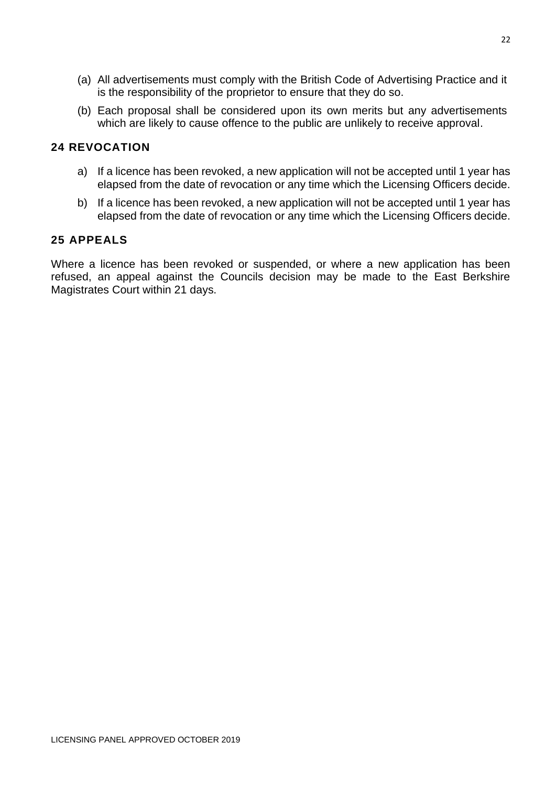- (a) All advertisements must comply with the British Code of Advertising Practice and it is the responsibility of the proprietor to ensure that they do so.
- (b) Each proposal shall be considered upon its own merits but any advertisements which are likely to cause offence to the public are unlikely to receive approval.

# **24 REVOCATION**

- a) If a licence has been revoked, a new application will not be accepted until 1 year has elapsed from the date of revocation or any time which the Licensing Officers decide.
- b) If a licence has been revoked, a new application will not be accepted until 1 year has elapsed from the date of revocation or any time which the Licensing Officers decide.

# **25 APPEALS**

Where a licence has been revoked or suspended, or where a new application has been refused, an appeal against the Councils decision may be made to the East Berkshire Magistrates Court within 21 days.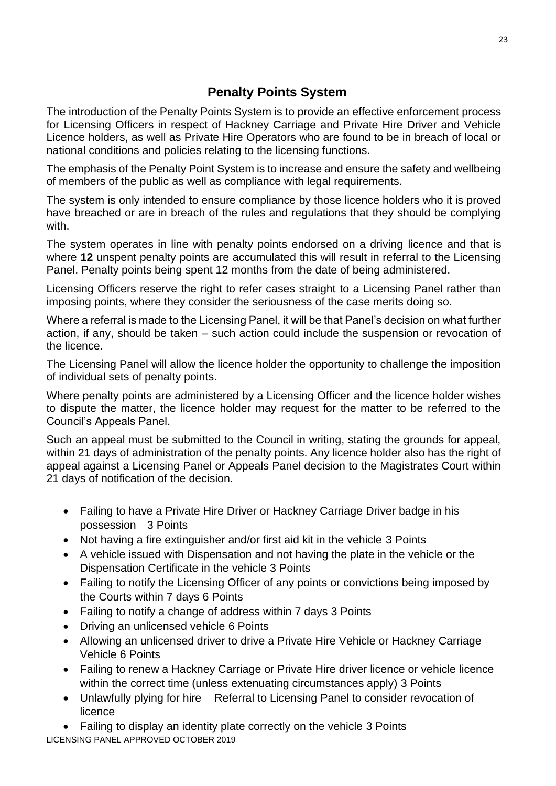# **Penalty Points System**

The introduction of the Penalty Points System is to provide an effective enforcement process for Licensing Officers in respect of Hackney Carriage and Private Hire Driver and Vehicle Licence holders, as well as Private Hire Operators who are found to be in breach of local or national conditions and policies relating to the licensing functions.

The emphasis of the Penalty Point System is to increase and ensure the safety and wellbeing of members of the public as well as compliance with legal requirements.

The system is only intended to ensure compliance by those licence holders who it is proved have breached or are in breach of the rules and regulations that they should be complying with.

The system operates in line with penalty points endorsed on a driving licence and that is where **12** unspent penalty points are accumulated this will result in referral to the Licensing Panel. Penalty points being spent 12 months from the date of being administered.

Licensing Officers reserve the right to refer cases straight to a Licensing Panel rather than imposing points, where they consider the seriousness of the case merits doing so.

Where a referral is made to the Licensing Panel, it will be that Panel's decision on what further action, if any, should be taken – such action could include the suspension or revocation of the licence.

The Licensing Panel will allow the licence holder the opportunity to challenge the imposition of individual sets of penalty points.

Where penalty points are administered by a Licensing Officer and the licence holder wishes to dispute the matter, the licence holder may request for the matter to be referred to the Council's Appeals Panel.

Such an appeal must be submitted to the Council in writing, stating the grounds for appeal, within 21 days of administration of the penalty points. Any licence holder also has the right of appeal against a Licensing Panel or Appeals Panel decision to the Magistrates Court within 21 days of notification of the decision.

- Failing to have a Private Hire Driver or Hackney Carriage Driver badge in his possession 3 Points
- Not having a fire extinguisher and/or first aid kit in the vehicle 3 Points
- A vehicle issued with Dispensation and not having the plate in the vehicle or the Dispensation Certificate in the vehicle 3 Points
- Failing to notify the Licensing Officer of any points or convictions being imposed by the Courts within 7 days 6 Points
- Failing to notify a change of address within 7 days 3 Points
- Driving an unlicensed vehicle 6 Points
- Allowing an unlicensed driver to drive a Private Hire Vehicle or Hackney Carriage Vehicle 6 Points
- Failing to renew a Hackney Carriage or Private Hire driver licence or vehicle licence within the correct time (unless extenuating circumstances apply) 3 Points
- Unlawfully plying for hire Referral to Licensing Panel to consider revocation of licence

LICENSING PANEL APPROVED OCTOBER 2019 • Failing to display an identity plate correctly on the vehicle 3 Points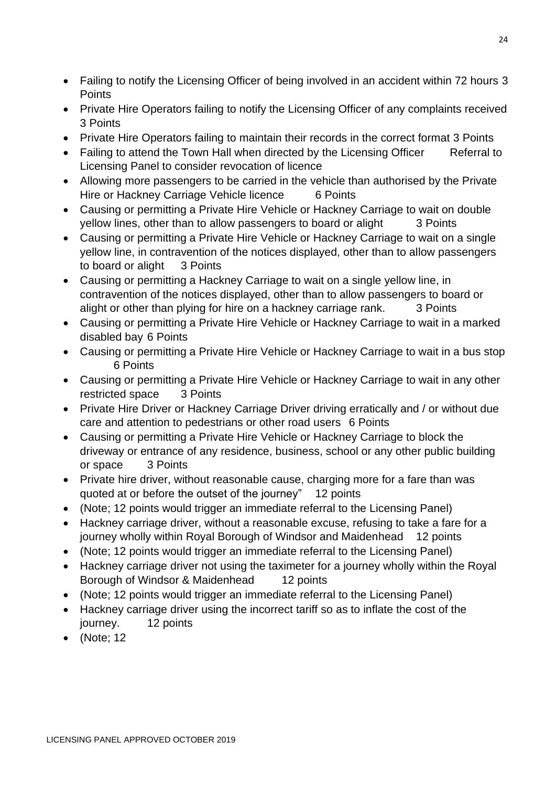- Failing to notify the Licensing Officer of being involved in an accident within 72 hours 3 **Points**
- Private Hire Operators failing to notify the Licensing Officer of any complaints received 3 Points
- Private Hire Operators failing to maintain their records in the correct format 3 Points
- Failing to attend the Town Hall when directed by the Licensing Officer Referral to Licensing Panel to consider revocation of licence
- Allowing more passengers to be carried in the vehicle than authorised by the Private Hire or Hackney Carriage Vehicle licence 6 Points
- Causing or permitting a Private Hire Vehicle or Hackney Carriage to wait on double yellow lines, other than to allow passengers to board or alight 3 Points
- Causing or permitting a Private Hire Vehicle or Hackney Carriage to wait on a single yellow line, in contravention of the notices displayed, other than to allow passengers to board or alight 3 Points
- Causing or permitting a Hackney Carriage to wait on a single yellow line, in contravention of the notices displayed, other than to allow passengers to board or alight or other than plying for hire on a hackney carriage rank. 3 Points
- Causing or permitting a Private Hire Vehicle or Hackney Carriage to wait in a marked disabled bay 6 Points
- Causing or permitting a Private Hire Vehicle or Hackney Carriage to wait in a bus stop 6 Points
- Causing or permitting a Private Hire Vehicle or Hackney Carriage to wait in any other restricted space 3 Points
- Private Hire Driver or Hackney Carriage Driver driving erratically and / or without due care and attention to pedestrians or other road users 6 Points
- Causing or permitting a Private Hire Vehicle or Hackney Carriage to block the driveway or entrance of any residence, business, school or any other public building or space 3 Points
- Private hire driver, without reasonable cause, charging more for a fare than was quoted at or before the outset of the journey" 12 points
- (Note; 12 points would trigger an immediate referral to the Licensing Panel)
- Hackney carriage driver, without a reasonable excuse, refusing to take a fare for a journey wholly within Royal Borough of Windsor and Maidenhead 12 points
- (Note; 12 points would trigger an immediate referral to the Licensing Panel)
- Hackney carriage driver not using the taximeter for a journey wholly within the Royal Borough of Windsor & Maidenhead 12 points
- (Note; 12 points would trigger an immediate referral to the Licensing Panel)
- Hackney carriage driver using the incorrect tariff so as to inflate the cost of the journey. 12 points
- (Note; 12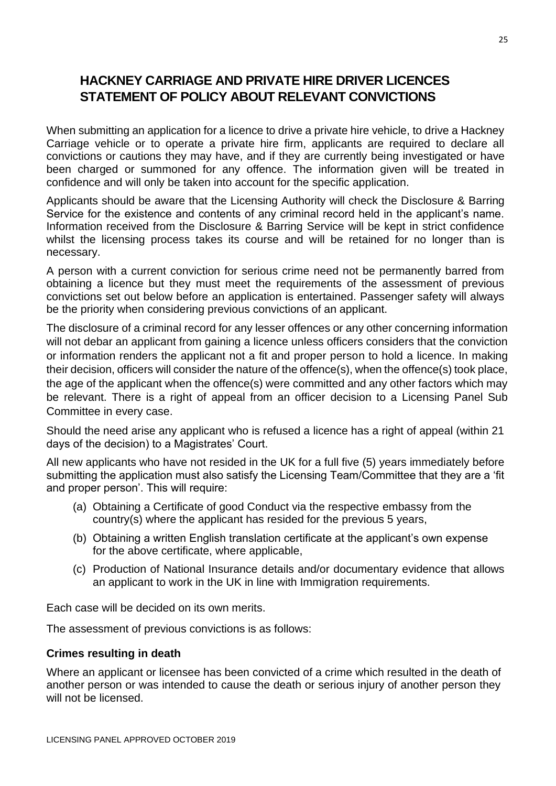# **HACKNEY CARRIAGE AND PRIVATE HIRE DRIVER LICENCES STATEMENT OF POLICY ABOUT RELEVANT CONVICTIONS**

When submitting an application for a licence to drive a private hire vehicle, to drive a Hackney Carriage vehicle or to operate a private hire firm, applicants are required to declare all convictions or cautions they may have, and if they are currently being investigated or have been charged or summoned for any offence. The information given will be treated in confidence and will only be taken into account for the specific application.

Applicants should be aware that the Licensing Authority will check the Disclosure & Barring Service for the existence and contents of any criminal record held in the applicant's name. Information received from the Disclosure & Barring Service will be kept in strict confidence whilst the licensing process takes its course and will be retained for no longer than is necessary.

A person with a current conviction for serious crime need not be permanently barred from obtaining a licence but they must meet the requirements of the assessment of previous convictions set out below before an application is entertained. Passenger safety will always be the priority when considering previous convictions of an applicant.

The disclosure of a criminal record for any lesser offences or any other concerning information will not debar an applicant from gaining a licence unless officers considers that the conviction or information renders the applicant not a fit and proper person to hold a licence. In making their decision, officers will consider the nature of the offence(s), when the offence(s) took place, the age of the applicant when the offence(s) were committed and any other factors which may be relevant. There is a right of appeal from an officer decision to a Licensing Panel Sub Committee in every case.

Should the need arise any applicant who is refused a licence has a right of appeal (within 21 days of the decision) to a Magistrates' Court.

All new applicants who have not resided in the UK for a full five (5) years immediately before submitting the application must also satisfy the Licensing Team/Committee that they are a 'fit and proper person'. This will require:

- (a) Obtaining a Certificate of good Conduct via the respective embassy from the country(s) where the applicant has resided for the previous 5 years,
- (b) Obtaining a written English translation certificate at the applicant's own expense for the above certificate, where applicable,
- (c) Production of National Insurance details and/or documentary evidence that allows an applicant to work in the UK in line with Immigration requirements.

Each case will be decided on its own merits.

The assessment of previous convictions is as follows:

# **Crimes resulting in death**

Where an applicant or licensee has been convicted of a crime which resulted in the death of another person or was intended to cause the death or serious injury of another person they will not be licensed.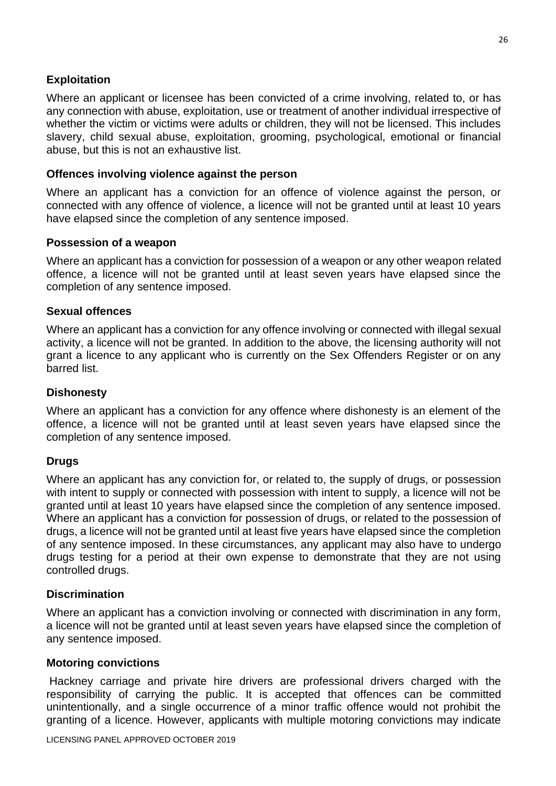# **Exploitation**

Where an applicant or licensee has been convicted of a crime involving, related to, or has any connection with abuse, exploitation, use or treatment of another individual irrespective of whether the victim or victims were adults or children, they will not be licensed. This includes slavery, child sexual abuse, exploitation, grooming, psychological, emotional or financial abuse, but this is not an exhaustive list.

# **Offences involving violence against the person**

Where an applicant has a conviction for an offence of violence against the person, or connected with any offence of violence, a licence will not be granted until at least 10 years have elapsed since the completion of any sentence imposed.

#### **Possession of a weapon**

Where an applicant has a conviction for possession of a weapon or any other weapon related offence, a licence will not be granted until at least seven years have elapsed since the completion of any sentence imposed.

#### **Sexual offences**

Where an applicant has a conviction for any offence involving or connected with illegal sexual activity, a licence will not be granted. In addition to the above, the licensing authority will not grant a licence to any applicant who is currently on the Sex Offenders Register or on any barred list.

#### **Dishonesty**

Where an applicant has a conviction for any offence where dishonesty is an element of the offence, a licence will not be granted until at least seven years have elapsed since the completion of any sentence imposed.

# **Drugs**

Where an applicant has any conviction for, or related to, the supply of drugs, or possession with intent to supply or connected with possession with intent to supply, a licence will not be granted until at least 10 years have elapsed since the completion of any sentence imposed. Where an applicant has a conviction for possession of drugs, or related to the possession of drugs, a licence will not be granted until at least five years have elapsed since the completion of any sentence imposed. In these circumstances, any applicant may also have to undergo drugs testing for a period at their own expense to demonstrate that they are not using controlled drugs.

#### **Discrimination**

Where an applicant has a conviction involving or connected with discrimination in any form, a licence will not be granted until at least seven years have elapsed since the completion of any sentence imposed.

#### **Motoring convictions**

Hackney carriage and private hire drivers are professional drivers charged with the responsibility of carrying the public. It is accepted that offences can be committed unintentionally, and a single occurrence of a minor traffic offence would not prohibit the granting of a licence. However, applicants with multiple motoring convictions may indicate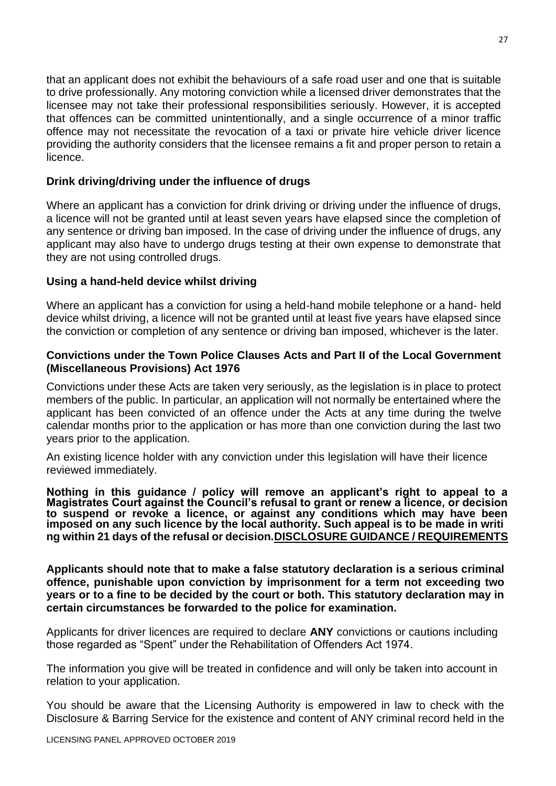that an applicant does not exhibit the behaviours of a safe road user and one that is suitable to drive professionally. Any motoring conviction while a licensed driver demonstrates that the licensee may not take their professional responsibilities seriously. However, it is accepted that offences can be committed unintentionally, and a single occurrence of a minor traffic offence may not necessitate the revocation of a taxi or private hire vehicle driver licence providing the authority considers that the licensee remains a fit and proper person to retain a licence.

# **Drink driving/driving under the influence of drugs**

Where an applicant has a conviction for drink driving or driving under the influence of drugs, a licence will not be granted until at least seven years have elapsed since the completion of any sentence or driving ban imposed. In the case of driving under the influence of drugs, any applicant may also have to undergo drugs testing at their own expense to demonstrate that they are not using controlled drugs.

# **Using a hand-held device whilst driving**

Where an applicant has a conviction for using a held‐hand mobile telephone or a hand‐ held device whilst driving, a licence will not be granted until at least five years have elapsed since the conviction or completion of any sentence or driving ban imposed, whichever is the later.

# **Convictions under the Town Police Clauses Acts and Part II of the Local Government (Miscellaneous Provisions) Act 1976**

Convictions under these Acts are taken very seriously, as the legislation is in place to protect members of the public. In particular, an application will not normally be entertained where the applicant has been convicted of an offence under the Acts at any time during the twelve calendar months prior to the application or has more than one conviction during the last two years prior to the application.

An existing licence holder with any conviction under this legislation will have their licence reviewed immediately.

**Nothing in this guidance / policy will remove an applicant's right to appeal to a Magistrates Court against the Council's refusal to grant or renew a licence, or decision to suspend or revoke a licence, or against any conditions which may have been imposed on any such licence by the local authority. Such appeal is to be made in writi ng within 21 days of the refusal or decision.DISCLOSURE GUIDANCE / REQUIREMENTS**

**Applicants should note that to make a false statutory declaration is a serious criminal offence, punishable upon conviction by imprisonment for a term not exceeding two years or to a fine to be decided by the court or both. This statutory declaration may in certain circumstances be forwarded to the police for examination.**

Applicants for driver licences are required to declare **ANY** convictions or cautions including those regarded as "Spent" under the Rehabilitation of Offenders Act 1974.

The information you give will be treated in confidence and will only be taken into account in relation to your application.

You should be aware that the Licensing Authority is empowered in law to check with the Disclosure & Barring Service for the existence and content of ANY criminal record held in the